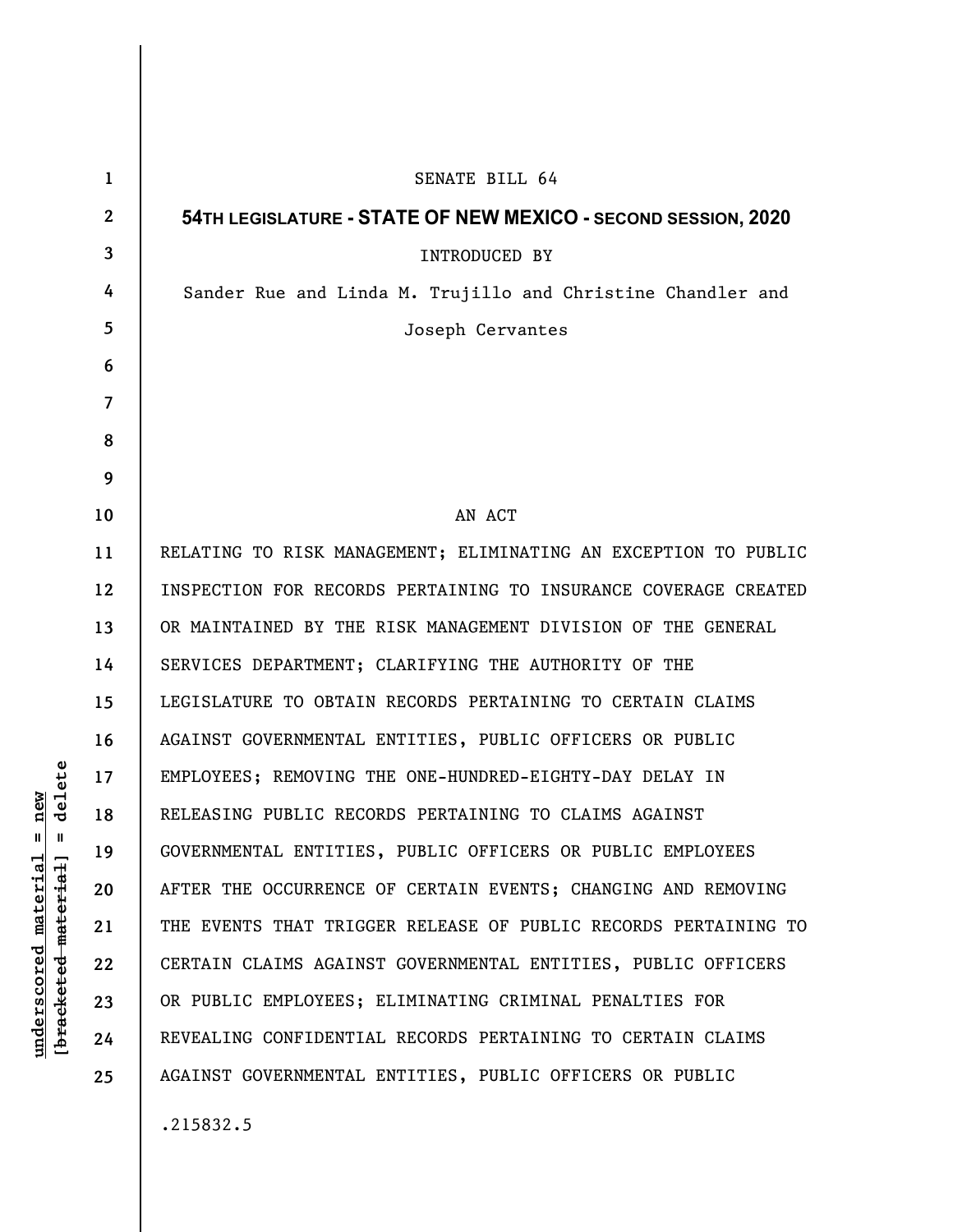| $\mathbf 1$      | SENATE BILL 64                                                  |
|------------------|-----------------------------------------------------------------|
| $\boldsymbol{2}$ | 54TH LEGISLATURE - STATE OF NEW MEXICO - SECOND SESSION, 2020   |
| 3                | <b>INTRODUCED BY</b>                                            |
| 4                | Sander Rue and Linda M. Trujillo and Christine Chandler and     |
| 5                | Joseph Cervantes                                                |
| 6                |                                                                 |
| 7                |                                                                 |
| 8                |                                                                 |
| 9                |                                                                 |
| 10               | AN ACT                                                          |
| 11               | RELATING TO RISK MANAGEMENT; ELIMINATING AN EXCEPTION TO PUBLIC |
| 12               | INSPECTION FOR RECORDS PERTAINING TO INSURANCE COVERAGE CREATED |
| 13               | OR MAINTAINED BY THE RISK MANAGEMENT DIVISION OF THE GENERAL    |
| 14               | SERVICES DEPARTMENT; CLARIFYING THE AUTHORITY OF THE            |
| 15               | LEGISLATURE TO OBTAIN RECORDS PERTAINING TO CERTAIN CLAIMS      |
| 16               | AGAINST GOVERNMENTAL ENTITIES, PUBLIC OFFICERS OR PUBLIC        |
| 17               | EMPLOYEES; REMOVING THE ONE-HUNDRED-EIGHTY-DAY DELAY IN         |
| 18               | RELEASING PUBLIC RECORDS PERTAINING TO CLAIMS AGAINST           |
| 19               | GOVERNMENTAL ENTITIES, PUBLIC OFFICERS OR PUBLIC EMPLOYEES      |
| 20               | AFTER THE OCCURRENCE OF CERTAIN EVENTS; CHANGING AND REMOVING   |
| 21               | THE EVENTS THAT TRIGGER RELEASE OF PUBLIC RECORDS PERTAINING TO |
| 22               | CERTAIN CLAIMS AGAINST GOVERNMENTAL ENTITIES, PUBLIC OFFICERS   |
| 23               | OR PUBLIC EMPLOYEES; ELIMINATING CRIMINAL PENALTIES FOR         |
| 24               | REVEALING CONFIDENTIAL RECORDS PERTAINING TO CERTAIN CLAIMS     |
| 25               | AGAINST GOVERNMENTAL ENTITIES, PUBLIC OFFICERS OR PUBLIC        |
|                  | .215832.5                                                       |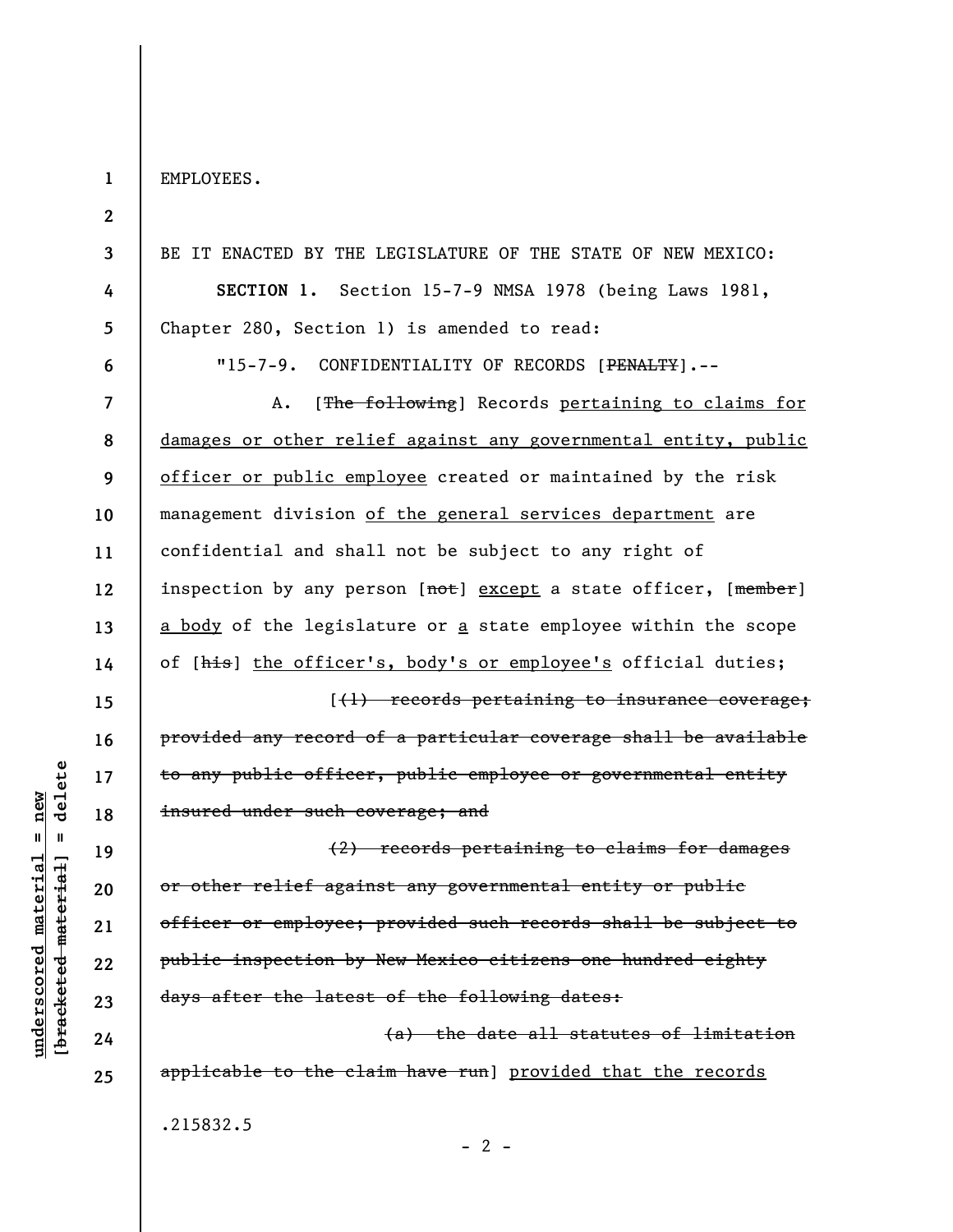EMPLOYEES.

**1** 

**2** 

**3 4 5 6 7 8 9 10 11 12 13 14 15 16 17 18 19 20 21 22 23 24 25**  BE IT ENACTED BY THE LEGISLATURE OF THE STATE OF NEW MEXICO: **SECTION 1.** Section 15-7-9 NMSA 1978 (being Laws 1981, Chapter 280, Section 1) is amended to read: "15-7-9. CONFIDENTIALITY OF RECORDS [PENALTY].--A. [The following] Records pertaining to claims for damages or other relief against any governmental entity, public officer or public employee created or maintained by the risk management division of the general services department are confidential and shall not be subject to any right of inspection by any person [not] except a state officer, [member] a body of the legislature or a state employee within the scope of [his] the officer's, body's or employee's official duties; [(1) records pertaining to insurance coverage; provided any record of a particular coverage shall be available to any public officer, public employee or governmental entity insured under such coverage; and (2) records pertaining to claims for damages or other relief against any governmental entity or public officer or employee; provided such records shall be subject to public inspection by New Mexico citizens one hundred eighty days after the latest of the following dates: (a) the date all statutes of limitation applicable to the claim have run] provided that the records

.215832.5

**underscored material = new [bracketed material] = delete**

 $underscored material = new$ 

delete

 $\mathbf{I}$ 

bracketed material

 $- 2 -$